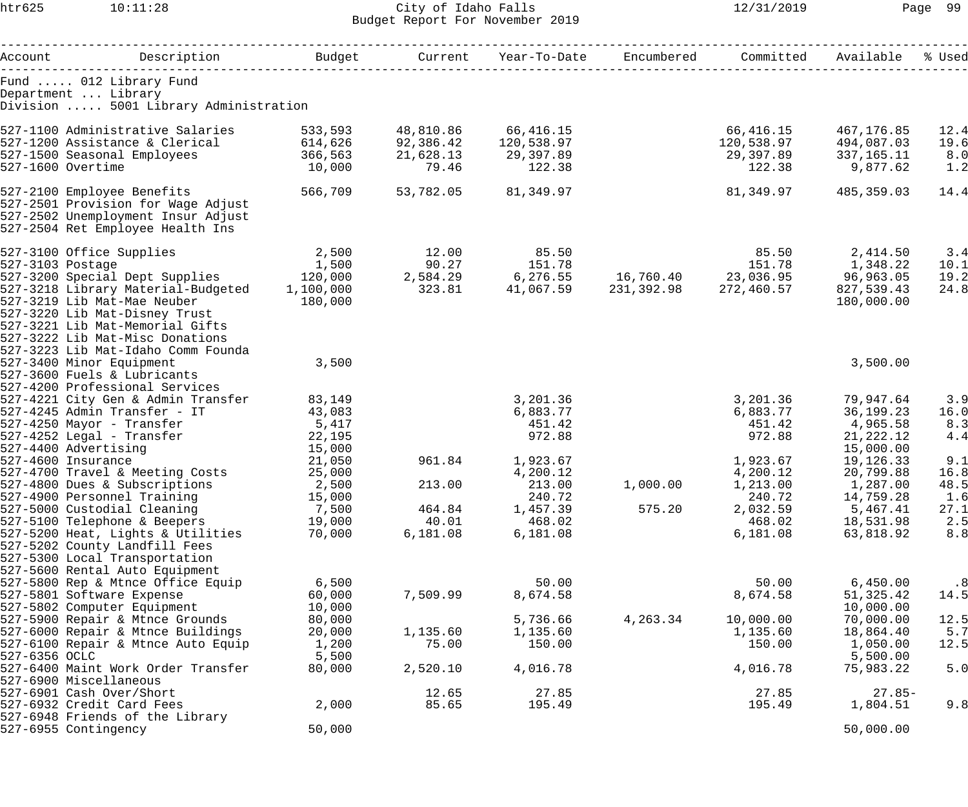htr625 10:11:28 City of Idaho Falls 12/31/2019 Page 99 Budget Report For November 2019

|                   |                                                                                        |                  |              |                                                             |          | Committed             | Available              | % Used    |
|-------------------|----------------------------------------------------------------------------------------|------------------|--------------|-------------------------------------------------------------|----------|-----------------------|------------------------|-----------|
|                   | Fund  012 Library Fund<br>Department  Library<br>Division  5001 Library Administration |                  |              |                                                             |          |                       |                        |           |
|                   | 527-1100 Administrative Salaries 533,593 48,810.86 66,416.15                           |                  |              |                                                             |          | 66,416.15             | 467,176.85             | 12.4      |
|                   | $527-1200$ Assistance & Clerical 614,626                                               |                  | 92,386.42    | 120,538.97                                                  |          | 120,538.97 494,087.03 |                        | 19.6      |
|                   | 527-1500 Seasonal Employees 366,563                                                    |                  | 21,628.13    | 29,397.89                                                   |          | 29,397.89 337,165.11  |                        | 8.0       |
| 527-1600 Overtime |                                                                                        | 10,000           | 79.46        | 122.38                                                      |          | 122.38                | 9,877.62               | 1.2       |
|                   | 527-2100 Employee Benefits<br>527-2501 Provision for Wage Adjust                       | 566,709          | 53,782.05    | 81,349.97                                                   |          | 81,349.97             | 485,359.03             | 14.4      |
|                   | 527-2502 Unemployment Insur Adjust                                                     |                  |              |                                                             |          |                       |                        |           |
|                   | 527-2504 Ret Employee Health Ins                                                       |                  |              |                                                             |          |                       |                        |           |
|                   | 527-3100 Office Supplies 2,500                                                         |                  | 12.00        | 85.50                                                       |          | 85.50 2,414.50        |                        | 3.4       |
|                   |                                                                                        |                  | 90.27 151.78 |                                                             |          |                       |                        | 10.1      |
|                   |                                                                                        |                  |              |                                                             |          |                       |                        | 19.2      |
|                   | 527-3218 Library Material-Budgeted 1,100,000                                           |                  |              | $323.81$ $41,067.59$ $231,392.98$ $272,460.57$ $827,539.43$ |          |                       |                        | 24.8      |
|                   | 527-3219 Lib Mat-Mae Neuber                                                            | 180,000          |              |                                                             |          |                       | 180,000.00             |           |
|                   | 527-3220 Lib Mat-Disney Trust                                                          |                  |              |                                                             |          |                       |                        |           |
|                   | 527-3221 Lib Mat-Memorial Gifts                                                        |                  |              |                                                             |          |                       |                        |           |
|                   | 527-3222 Lib Mat-Misc Donations                                                        |                  |              |                                                             |          |                       |                        |           |
|                   | 527-3223 Lib Mat-Idaho Comm Founda                                                     |                  |              |                                                             |          |                       |                        |           |
|                   | 527-3400 Minor Equipment                                                               | 3,500            |              |                                                             |          |                       | 3,500.00               |           |
|                   | 527-3600 Fuels & Lubricants                                                            |                  |              |                                                             |          |                       |                        |           |
|                   | 527-4200 Professional Services                                                         |                  |              |                                                             |          |                       |                        |           |
|                   | 527-4221 City Gen & Admin Transfer                                                     | 83,149           |              | 3,201.36                                                    |          | 3,201.36              | 79,947.64              | 3.9       |
|                   | 527-4245 Admin Transfer - IT                                                           | 43,083           |              | 6,883.77                                                    |          | 6,883.77              | 36,199.23              | 16.0      |
|                   | 527-4250 Mayor - Transfer 5,417                                                        |                  |              | 451.42                                                      |          | 451.42 4,965.58       |                        | 8.3       |
|                   | 527-4252 Legal - Transfer<br>527-4400 Advertising                                      | 22,195           |              | 972.88                                                      |          | 972.88                | 21,222.12              | 4.4       |
|                   | 527-4600 Insurance                                                                     | 15,000           |              | 961.84 1,923.67                                             |          | 1,923.67              | 15,000.00<br>19,126.33 | 9.1       |
|                   | 527-4700 Travel & Meeting Costs                                                        | 21,050<br>25,000 |              | 4,200.12                                                    |          |                       |                        | 16.8      |
|                   | 527-4800 Dues & Subscriptions 2,500                                                    |                  | 213.00       | 213.00                                                      | 1,000.00 | 4,200.12<br>1,213.00  | 20,799.88<br>1,287.00  | 48.5      |
|                   | 527-4900 Personnel Training                                                            | 15,000           |              | 240.72                                                      |          | 240.72                | 14,759.28              | 1.6       |
|                   | 527-5000 Custodial Cleaning                                                            | 7,500            | 464.84       | 1,457.39                                                    | 575.20   | 2,032.59              | 5,467.41               | 27.1      |
|                   | 527-5100 Telephone & Beepers                                                           | 19,000           | 40.01        | 468.02                                                      |          | 468.02                | 18,531.98              | 2.5       |
|                   | 527-5200 Heat, Lights & Utilities                                                      | 70,000           | 6,181.08     | 6,181.08                                                    |          | 6,181.08              | 63,818.92              | 8.8       |
|                   | 527-5202 County Landfill Fees                                                          |                  |              |                                                             |          |                       |                        |           |
|                   | 527-5300 Local Transportation                                                          |                  |              |                                                             |          |                       |                        |           |
|                   | 527-5600 Rental Auto Equipment                                                         |                  |              |                                                             |          |                       |                        |           |
|                   | 527-5800 Rep & Mtnce Office Equip                                                      | 6,500            |              | 50.00                                                       |          | 50.00                 | 6,450.00               | $\cdot$ 8 |
|                   | 527-5801 Software Expense                                                              | 60,000           | 7,509.99     | 8,674.58                                                    |          | 8,674.58              | 51, 325.42             | 14.5      |
|                   | 527-5802 Computer Equipment                                                            | 10,000           |              |                                                             |          |                       | 10,000.00              |           |
|                   | 527-5900 Repair & Mtnce Grounds                                                        | 80,000           |              | 5,736.66                                                    | 4,263.34 | 10,000.00             | 70,000.00              | 12.5      |
|                   | 527-6000 Repair & Mtnce Buildings                                                      | 20,000           | 1,135.60     | 1,135.60                                                    |          | 1,135.60              | 18,864.40              | 5.7       |
|                   | 527-6100 Repair & Mtnce Auto Equip                                                     | 1,200            | 75.00        | 150.00                                                      |          | 150.00                | 1,050.00               | 12.5      |
| 527-6356 OCLC     |                                                                                        | 5,500            |              |                                                             |          |                       | 5,500.00               |           |
|                   | 527-6400 Maint Work Order Transfer                                                     | 80,000           | 2,520.10     | 4,016.78                                                    |          | 4,016.78              | 75,983.22              | 5.0       |
|                   | 527-6900 Miscellaneous                                                                 |                  |              |                                                             |          |                       |                        |           |
|                   | 527-6901 Cash Over/Short                                                               |                  | 12.65        | 27.85                                                       |          | 27.85                 | $27.85-$               |           |
|                   | 527-6932 Credit Card Fees                                                              | 2,000            | 85.65        | 195.49                                                      |          | 195.49                | 1,804.51               | 9.8       |
|                   | 527-6948 Friends of the Library                                                        |                  |              |                                                             |          |                       |                        |           |
|                   | 527-6955 Contingency                                                                   | 50,000           |              |                                                             |          |                       | 50,000.00              |           |
|                   |                                                                                        |                  |              |                                                             |          |                       |                        |           |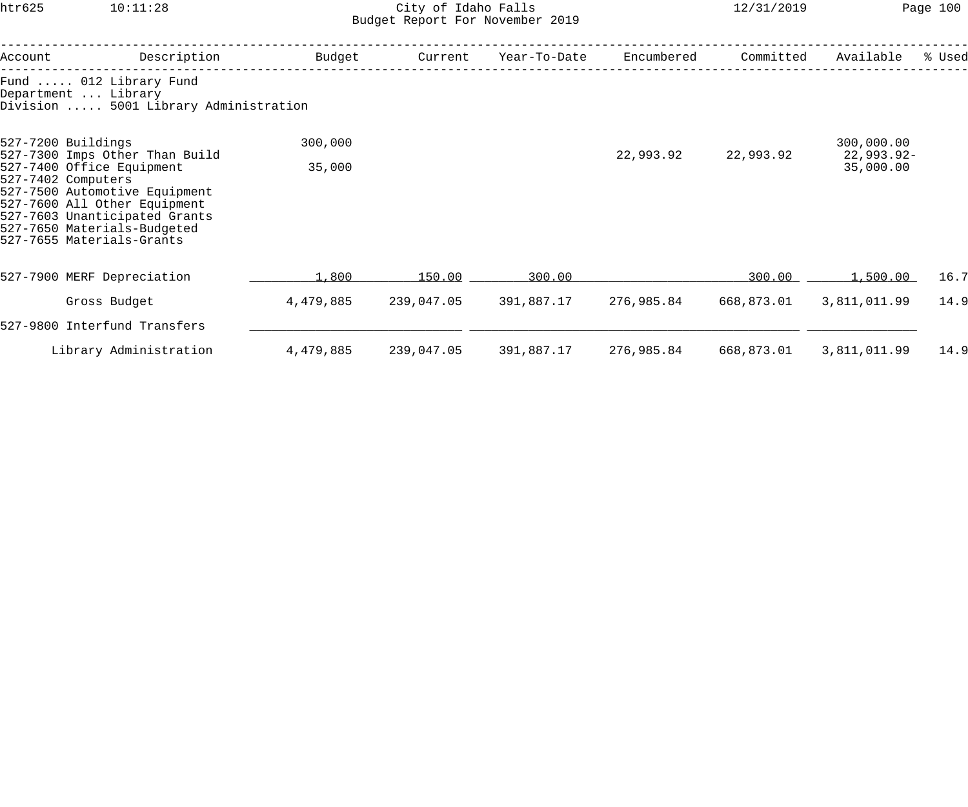## htr625 10:11:28 City of Idaho Falls 12/31/2019 Page 100 Budget Report For November 2019

| Account                                                                                                                                                                                                                                                               | Description                                                                            | Budget    | Current    | Year-To-Date | Encumbered | Committed  | Available                             | % Used |
|-----------------------------------------------------------------------------------------------------------------------------------------------------------------------------------------------------------------------------------------------------------------------|----------------------------------------------------------------------------------------|-----------|------------|--------------|------------|------------|---------------------------------------|--------|
|                                                                                                                                                                                                                                                                       | Fund  012 Library Fund<br>Department  Library<br>Division  5001 Library Administration |           |            |              |            |            |                                       |        |
| 527-7200 Buildings<br>527-7300 Imps Other Than Build<br>527-7400 Office Equipment<br>527-7402 Computers<br>527-7500 Automotive Equipment<br>527-7600 All Other Equipment<br>527-7603 Unanticipated Grants<br>527-7650 Materials-Budgeted<br>527-7655 Materials-Grants |                                                                                        | 300,000   |            |              | 22,993.92  | 22,993.92  | 300,000.00<br>22,993.92-<br>35,000.00 |        |
|                                                                                                                                                                                                                                                                       |                                                                                        | 35,000    |            |              |            |            |                                       |        |
|                                                                                                                                                                                                                                                                       | 527-7900 MERF Depreciation                                                             | 1,800     | 150.00     | 300.00       |            | 300.00     | <u>1,500.00</u>                       | 16.7   |
|                                                                                                                                                                                                                                                                       | Gross Budget                                                                           | 4,479,885 | 239,047.05 | 391,887.17   | 276,985.84 | 668,873.01 | 3,811,011.99                          | 14.9   |
|                                                                                                                                                                                                                                                                       | 527-9800 Interfund Transfers                                                           |           |            |              |            |            |                                       |        |
|                                                                                                                                                                                                                                                                       | Library Administration                                                                 | 4,479,885 | 239,047.05 | 391,887.17   | 276,985.84 | 668,873.01 | 3,811,011.99                          | 14.9   |
|                                                                                                                                                                                                                                                                       |                                                                                        |           |            |              |            |            |                                       |        |